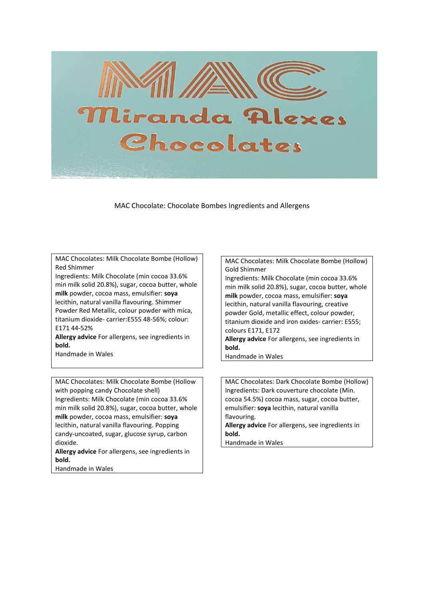

MAC Chocolate: Chocolate Bombes Ingredients and Allergens

MAC Chocolates: Milk Chocolate Bombe (Hollow) Red Shimmer

Ingredients: Milk Chocolate (min cocoa 33.6% min milk solid 20.8%), sugar, cocoa butter, whole **milk** powder, cocoa mass, emulsifier: **soya** lecithin, natural vanilla flavouring. Shimmer Powder Red Metallic, colour powder with mica, titanium dioxide- carrier:E555 48-56%; colour: E171 44-52%

**Allergy advice** For allergens, see ingredients in **bold.**

Handmade in Wales

MAC Chocolates: Milk Chocolate Bombe (Hollow with popping candy Chocolate shell) Ingredients: Milk Chocolate (min cocoa 33.6% min milk solid 20.8%), sugar, cocoa butter, whole **milk** powder, cocoa mass, emulsifier: **soya** lecithin, natural vanilla flavouring. Popping candy-uncoated, sugar, glucose syrup, carbon dioxide.

**Allergy advice** For allergens, see ingredients in **bold.**

Handmade in Wales

MAC Chocolates: Milk Chocolate Bombe (Hollow) Gold Shimmer

Ingredients: Milk Chocolate (min cocoa 33.6% min milk solid 20.8%), sugar, cocoa butter, whole **milk** powder, cocoa mass, emulsifier: **soya** lecithin, natural vanilla flavouring, creative powder Gold, metallic effect, colour powder, titanium dioxide and iron oxides- carrier: E555; colours E171, E172

**Allergy advice** For allergens, see ingredients in **bold.**

Handmade in Wales

MAC Chocolates: Dark Chocolate Bombe (Hollow) Ingredients: Dark couverture chocolate (Min. cocoa 54.5%) cocoa mass, sugar, cocoa butter, emulsifier: **soya** lecithin, natural vanilla flavouring. **Allergy advice** For allergens, see ingredients in **bold.**

Handmade in Wales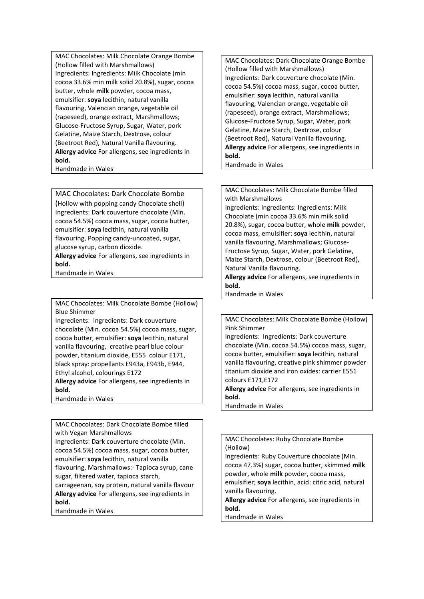MAC Chocolates: Milk Chocolate Orange Bombe (Hollow filled with Marshmallows) Ingredients: Ingredients: Milk Chocolate (min cocoa 33.6% min milk solid 20.8%), sugar, cocoa butter, whole **milk** powder, cocoa mass, emulsifier: **soya** lecithin, natural vanilla flavouring, Valencian orange, vegetable oil (rapeseed), orange extract, Marshmallows; Glucose-Fructose Syrup, Sugar, Water, pork Gelatine, Maize Starch, Dextrose, colour (Beetroot Red), Natural Vanilla flavouring. **Allergy advice** For allergens, see ingredients in **bold.** Handmade in Wales

MAC Chocolates: Dark Chocolate Bombe (Hollow with popping candy Chocolate shell) Ingredients: Dark couverture chocolate (Min. cocoa 54.5%) cocoa mass, sugar, cocoa butter, emulsifier: **soya** lecithin, natural vanilla flavouring, Popping candy-uncoated, sugar, glucose syrup, carbon dioxide. **Allergy advice** For allergens, see ingredients in **bold.**

Handmade in Wales

MAC Chocolates: Milk Chocolate Bombe (Hollow) Blue Shimmer

Ingredients: Ingredients: Dark couverture chocolate (Min. cocoa 54.5%) cocoa mass, sugar, cocoa butter, emulsifier: **soya** lecithin, natural vanilla flavouring, creative pearl blue colour powder, titanium dioxide, E555 colour E171, black spray: propellants E943a, E943b, E944, Ethyl alcohol, colourings E172

**Allergy advice** For allergens, see ingredients in **bold.**

Handmade in Wales

MAC Chocolates: Dark Chocolate Bombe filled with Vegan Marshmallows

Ingredients: Dark couverture chocolate (Min. cocoa 54.5%) cocoa mass, sugar, cocoa butter, emulsifier: **soya** lecithin, natural vanilla flavouring, Marshmallows:- Tapioca syrup, cane sugar, filtered water, tapioca starch,

carrageenan, soy protein, natural vanilla flavour **Allergy advice** For allergens, see ingredients in **bold.**

Handmade in Wales

MAC Chocolates: Dark Chocolate Orange Bombe (Hollow filled with Marshmallows) Ingredients: Dark couverture chocolate (Min. cocoa 54.5%) cocoa mass, sugar, cocoa butter, emulsifier: **soya** lecithin, natural vanilla flavouring, Valencian orange, vegetable oil (rapeseed), orange extract, Marshmallows; Glucose-Fructose Syrup, Sugar, Water, pork Gelatine, Maize Starch, Dextrose, colour (Beetroot Red), Natural Vanilla flavouring. **Allergy advice** For allergens, see ingredients in **bold.**

Handmade in Wales

MAC Chocolates: Milk Chocolate Bombe filled with Marshmallows

Ingredients: Ingredients: Ingredients: Milk Chocolate (min cocoa 33.6% min milk solid 20.8%), sugar, cocoa butter, whole **milk** powder, cocoa mass, emulsifier: **soya** lecithin, natural vanilla flavouring, Marshmallows; Glucose-Fructose Syrup, Sugar, Water, pork Gelatine, Maize Starch, Dextrose, colour (Beetroot Red), Natural Vanilla flavouring.

**Allergy advice** For allergens, see ingredients in **bold.**

Handmade in Wales

MAC Chocolates: Milk Chocolate Bombe (Hollow) Pink Shimmer

Ingredients: Ingredients: Dark couverture chocolate (Min. cocoa 54.5%) cocoa mass, sugar, cocoa butter, emulsifier: **soya** lecithin, natural vanilla flavouring, creative pink shimmer powder titanium dioxide and iron oxides: carrier E551 colours E171,E172

**Allergy advice** For allergens, see ingredients in **bold.**

Handmade in Wales

## MAC Chocolates: Ruby Chocolate Bombe (Hollow)

Ingredients: Ruby Couverture chocolate (Min. cocoa 47.3%) sugar, cocoa butter, skimmed **milk**  powder, whole **milk** powder, cocoa mass, emulsifier; **soya** lecithin, acid: citric acid, natural vanilla flavouring. **Allergy advice** For allergens, see ingredients in **bold.**

Handmade in Wales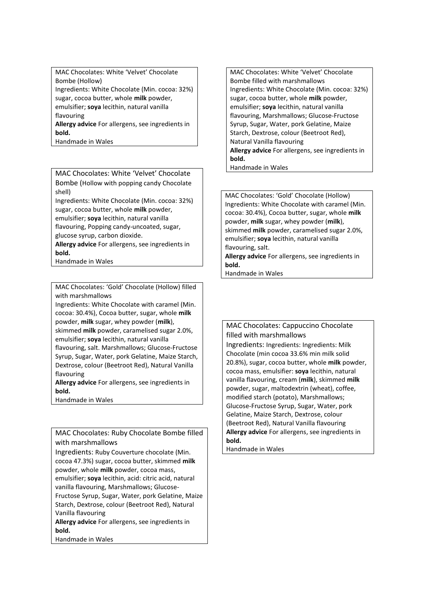MAC Chocolates: White 'Velvet' Chocolate Bombe (Hollow) Ingredients: White Chocolate (Min. cocoa: 32%) sugar, cocoa butter, whole **milk** powder, emulsifier; **soya** lecithin, natural vanilla flavouring **Allergy advice** For allergens, see ingredients in **bold.**

Handmade in Wales

MAC Chocolates: White 'Velvet' Chocolate Bombe (Hollow with popping candy Chocolate shell)

Ingredients: White Chocolate (Min. cocoa: 32%) sugar, cocoa butter, whole **milk** powder, emulsifier; **soya** lecithin, natural vanilla flavouring, Popping candy-uncoated, sugar,

glucose syrup, carbon dioxide.

**Allergy advice** For allergens, see ingredients in **bold.**

Handmade in Wales

MAC Chocolates: 'Gold' Chocolate (Hollow) filled with marshmallows

Ingredients: White Chocolate with caramel (Min. cocoa: 30.4%), Cocoa butter, sugar, whole **milk** powder, **milk** sugar, whey powder (**milk**), skimmed **milk** powder, caramelised sugar 2.0%, emulsifier; **soya** lecithin, natural vanilla flavouring, salt. Marshmallows; Glucose-Fructose Syrup, Sugar, Water, pork Gelatine, Maize Starch, Dextrose, colour (Beetroot Red), Natural Vanilla flavouring

**Allergy advice** For allergens, see ingredients in **bold.**

Handmade in Wales

MAC Chocolates: Ruby Chocolate Bombe filled with marshmallows

Ingredients: Ruby Couverture chocolate (Min. cocoa 47.3%) sugar, cocoa butter, skimmed **milk**  powder, whole **milk** powder, cocoa mass, emulsifier; **soya** lecithin, acid: citric acid, natural vanilla flavouring, Marshmallows; Glucose-Fructose Syrup, Sugar, Water, pork Gelatine, Maize Starch, Dextrose, colour (Beetroot Red), Natural Vanilla flavouring

**Allergy advice** For allergens, see ingredients in **bold.**

Handmade in Wales

MAC Chocolates: White 'Velvet' Chocolate Bombe filled with marshmallows Ingredients: White Chocolate (Min. cocoa: 32%) sugar, cocoa butter, whole **milk** powder, emulsifier; **soya** lecithin, natural vanilla flavouring, Marshmallows; Glucose-Fructose Syrup, Sugar, Water, pork Gelatine, Maize Starch, Dextrose, colour (Beetroot Red), Natural Vanilla flavouring **Allergy advice** For allergens, see ingredients in **bold.**

Handmade in Wales

MAC Chocolates: 'Gold' Chocolate (Hollow) Ingredients: White Chocolate with caramel (Min. cocoa: 30.4%), Cocoa butter, sugar, whole **milk** powder, **milk** sugar, whey powder (**milk**), skimmed **milk** powder, caramelised sugar 2.0%, emulsifier; **soya** lecithin, natural vanilla flavouring, salt.

**Allergy advice** For allergens, see ingredients in **bold.**

Handmade in Wales

MAC Chocolates: Cappuccino Chocolate filled with marshmallows Ingredients: Ingredients: Ingredients: Milk Chocolate (min cocoa 33.6% min milk solid 20.8%), sugar, cocoa butter, whole **milk** powder, cocoa mass, emulsifier: **soya** lecithin, natural vanilla flavouring, cream (**milk**), skimmed **milk**  powder, sugar, maltodextrin (wheat), coffee, modified starch (potato), Marshmallows; Glucose-Fructose Syrup, Sugar, Water, pork Gelatine, Maize Starch, Dextrose, colour (Beetroot Red), Natural Vanilla flavouring **Allergy advice** For allergens, see ingredients in **bold.**

Handmade in Wales